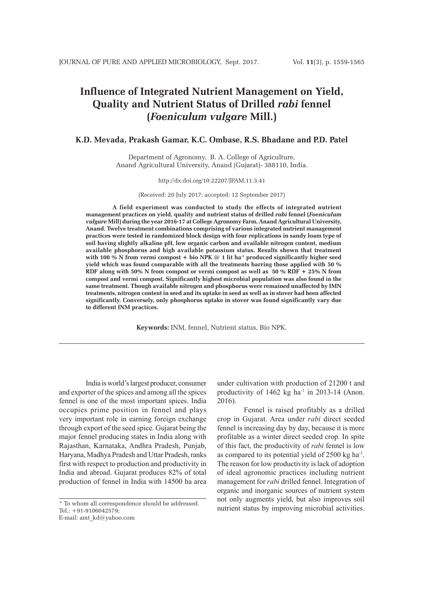# **Influence of Integrated Nutrient Management on Yield, Quality and Nutrient Status of Drilled** *rabi* **fennel (***Foeniculum vulgare* **Mill.)**

# **K.D. Mevada, Prakash Gamar, K.C. Ombase, R.S. Bhadane and P.D. Patel**

Department of Agronomy, B. A. College of Agriculture, Anand Agricultural University, Anand (Gujarat)- 388110, India.

#### http://dx.doi.org/10.22207/JPAM.11.3.41

#### (Received: 20 July 2017; accepted: 12 September 2017)

**A field experiment was conducted to study the effects of integrated nutrient management practices on yield, quality and nutrient status of drilled** *rabi* **fennel (***Foeniculum vulgare* **Mill) during the year 2016-17 at College Agronomy Farm, Anand Agricultural University, Anand. Twelve treatment combinations comprising of various integrated nutrient management practices were tested in randomized block design with four replications in sandy loam type of soil having slightly alkaline pH, low organic carbon and available nitrogen content, medium available phosphorus and high available potassium status. Results shown that treatment**  with 100 % N from vermi compost + bio NPK @ 1 lit ha<sup>-1</sup> produced significantly higher seed **yield which was found comparable with all the treatments barring those applied with 50 % RDF along with 50% N from compost or vermi compost as well as 50 % RDF + 25% N from compost and vermi compost. Significantly highest microbial population was also found in the same treatment. Though available nitrogen and phosphorus were remained unaffected by IMN treatments, nitrogen content in seed and its uptake in seed as well as in stover had been affected significantly. Conversely, only phosphorus uptake in stover was found significantly vary due to different INM practices.**

**Keywords:** INM, fennel, Nutrient status, Bio NPK.

India is world's largest producer, consumer and exporter of the spices and among all the spices fennel is one of the most important spices. India occupies prime position in fennel and plays very important role in earning foreign exchange through export of the seed spice. Gujarat being the major fennel producing states in India along with Rajasthan, Karnataka, Andhra Pradesh, Punjab, Haryana, Madhya Pradesh and Uttar Pradesh, ranks first with respect to production and productivity in India and abroad. Gujarat produces 82% of total production of fennel in India with 14500 ha area under cultivation with production of 21200 t and productivity of  $1462$  kg ha<sup>-1</sup> in 2013-14 (Anon. 2016).

Fennel is raised profitably as a drilled crop in Gujarat. Area under *rabi* direct seeded fennel is increasing day by day, because it is more profitable as a winter direct seeded crop. In spite of this fact, the productivity of *rabi* fennel is low as compared to its potential yield of 2500 kg ha-1. The reason for low productivity is lack of adoption of ideal agronomic practices including nutrient management for *rabi* drilled fennel. Integration of organic and inorganic sources of nutrient system not only augments yield, but also improves soil nutrient status by improving microbial activities.

<sup>\*</sup> To whom all correspondence should be addressed. Tel.: +91-9106042579; E-mail: amt\_kd@yahoo.com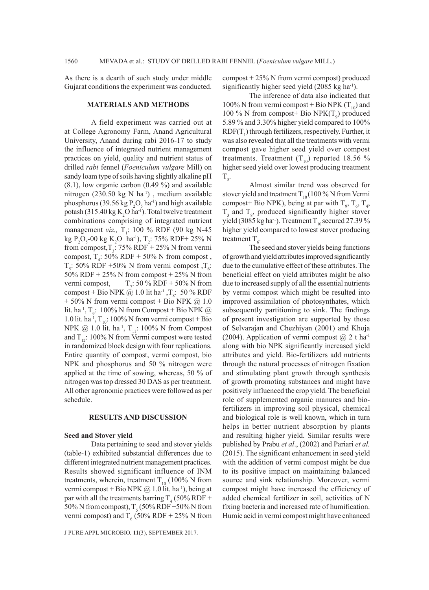As there is a dearth of such study under middle Gujarat conditions the experiment was conducted.

#### **MATERIALS AND METHODS**

A field experiment was carried out at at College Agronomy Farm, Anand Agricultural University, Anand during rabi 2016-17 to study the influence of integrated nutrient management practices on yield, quality and nutrient status of drilled *rabi* fennel (*Foeniculum vulgare* Mill) on sandy loam type of soils having slightly alkaline pH (8.1), low organic carbon (0.49 %) and available nitrogen (230.50 kg N ha<sup>-1</sup>), medium available phosphorus (39.56 kg  $P_2O_5$  ha<sup>-1</sup>) and high available potash (315.40 kg  $K_2O$  ha<sup>-1</sup>). Total twelve treatment combinations comprising of integrated nutrient management *viz.*, T<sub>1</sub>: 100 % RDF (90 kg N-45) kg P<sub>2</sub>O<sub>5</sub>-00 kg K<sub>2</sub>O ha<sup>-1</sup>), T<sub>2</sub>: 75% RDF+ 25% N from compost,  $T_3$ : 75% RDF + 25% N from vermi compost,  $T_4$ : 50% RDF + 50% N from compost,  $T_s$ : 50% RDF +50% N from vermi compost , $T_s$ : 50% RDF + 25% N from compost + 25% N from vermi compost,  $T_{7}$ : 50 % RDF + 50% N from compost + Bio NPK  $@1.0$  lit ha<sup>-1</sup>, T<sub>s</sub>: 50 % RDF  $+ 50\%$  N from vermi compost  $+$  Bio NPK  $@1.0$ lit. ha<sup>-1</sup>, T<sub>9</sub>: 100% N from Compost + Bio NPK  $@$ 1.0 lit. ha<sup>-1</sup>,  $T_{10}$ : 100% N from vermi compost + Bio NPK @ 1.0 lit. ha<sup>-1</sup>,  $T_{11}$ : 100% N from Compost and  $T_{12}$ : 100% N from Vermi compost were tested in randomized block design with four replications. Entire quantity of compost, vermi compost, bio NPK and phosphorus and 50 % nitrogen were applied at the time of sowing, whereas, 50 % of nitrogen was top dressed 30 DAS as per treatment. All other agronomic practices were followed as per schedule.

# **RESULTS AND DISCUSSION**

#### **Seed and Stover yield**

Data pertaining to seed and stover yields (table-1) exhibited substantial differences due to different integrated nutrient management practices. Results showed significant influence of INM treatments, wherein, treatment  $T_{10}$  (100% N from vermi compost + Bio NPK  $@$  1.0 lit. ha<sup>-1</sup>), being at par with all the treatments barring  $T_4$  (50% RDF + 50% N from compost),  $T_5$  (50% RDF +50% N from vermi compost) and  $T_6$  (50% RDF + 25% N from

J PURE APPL MICROBIO*,* **11**(3), SEPTEMBER 2017.

compost + 25% N from vermi compost) produced significantly higher seed yield  $(2085 \text{ kg ha}^{-1})$ .

The inference of data also indicated that 100% N from vermi compost + Bio NPK  $(T_{10})$  and 100 % N from compost+ Bio  $NPK(T_9)$  produced 5.89 % and 3.30% higher yield compared to 100%  $RDF(T_1)$  through fertilizers, respectively. Further, it was also revealed that all the treatments with vermi compost gave higher seed yield over compost treatments. Treatment  $(T_{10})$  reported 18.56 % higher seed yield over lowest producing treatment  $T_{5}$ .

Almost similar trend was observed for stover yield and treatment  $T_{10}$  (100 % N from Vermi compost+ Bio NPK), being at par with  $T_9$ ,  $T_6$ ,  $T_4$ ,  $T_3$  and  $T_8$ , produced significantly higher stover yield (3085 kg ha<sup>-1</sup>). Treatment T<sub>10</sub> secured 27.39 % higher yield compared to lowest stover producing treatment  $T_{6}$ .

The seed and stover yields being functions of growth and yield attributes improved significantly due to the cumulative effect of these attributes. The beneficial effect on yield attributes might be also due to increased supply of all the essential nutrients by vermi compost which might be resulted into improved assimilation of photosynthates, which subsequently partitioning to sink. The findings of present investigation are supported by those of Selvarajan and Chezhiyan (2001) and Khoja (2004). Application of vermi compost  $(a)$  2 t ha<sup>-1</sup> along with bio NPK significantly increased yield attributes and yield. Bio-fertilizers add nutrients through the natural processes of nitrogen fixation and stimulating plant growth through synthesis of growth promoting substances and might have positively influenced the crop yield. The beneficial role of supplemented organic manures and biofertilizers in improving soil physical, chemical and biological role is well known, which in turn helps in better nutrient absorption by plants and resulting higher yield. Similar results were published by Prabu *et al*., (2002) and Pariari *et al.* (2015). The significant enhancement in seed yield with the addition of vermi compost might be due to its positive impact on maintaining balanced source and sink relationship. Moreover, vermi compost might have increased the efficiency of added chemical fertilizer in soil, activities of N fixing bacteria and increased rate of humification. Humic acid in vermi compost might have enhanced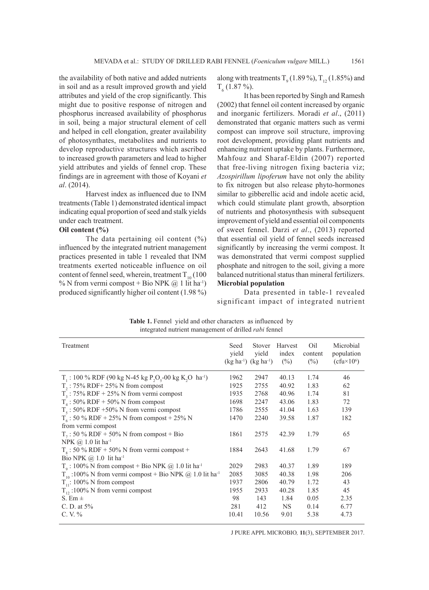the availability of both native and added nutrients in soil and as a result improved growth and yield attributes and yield of the crop significantly. This might due to positive response of nitrogen and phosphorus increased availability of phosphorus in soil, being a major structural element of cell and helped in cell elongation, greater availability of photosynthates, metabolites and nutrients to develop reproductive structures which ascribed to increased growth parameters and lead to higher yield attributes and yields of fennel crop. These findings are in agreement with those of Koyani *et al*. (2014).

Harvest index as influenced due to INM treatments (Table 1) demonstrated identical impact indicating equal proportion of seed and stalk yields under each treatment.

# **Oil content (%)**

The data pertaining oil content (%) influenced by the integrated nutrient management practices presented in table 1 revealed that INM treatments exerted noticeable influence on oil content of fennel seed, wherein, treatment  $T_{10}$  (100) % N from vermi compost + Bio NPK  $(\hat{\alpha})$  1 lit ha<sup>-1</sup>) produced significantly higher oil content (1.98 %)

along with treatments  $T_9$  (1.89%),  $T_{12}$  (1.85%) and  $T_6$  (1.87 %).

It has been reported by Singh and Ramesh (2002) that fennel oil content increased by organic and inorganic fertilizers. Moradi *et al*., (2011) demonstrated that organic matters such as vermi compost can improve soil structure, improving root development, providing plant nutrients and enhancing nutrient uptake by plants. Furthermore, Mahfouz and Sharaf-Eldin (2007) reported that free-living nitrogen fixing bacteria viz; *Azospirillum lipoferum* have not only the ability to fix nitrogen but also release phyto-hormones similar to gibberellic acid and indole acetic acid, which could stimulate plant growth, absorption of nutrients and photosynthesis with subsequent improvement of yield and essential oil components of sweet fennel. Darzi *et al*., (2013) reported that essential oil yield of fennel seeds increased significantly by increasing the vermi compost. It was demonstrated that vermi compost supplied phosphate and nitrogen to the soil, giving a more balanced nutritional status than mineral fertilizers. **Microbial population**

Data presented in table-1 revealed significant impact of integrated nutrient

Table 1. Fennel yield and other characters as influenced by integrated nutrient management of drilled *rabi* fennel

| Treatment                                                                                                 | Seed<br>vield | Stover<br>vield<br>$(kg ha^{-1})$ $(kg ha^{-1})$ | Harvest<br>index<br>$(\%)$ | Oil<br>content<br>$(\%)$ | Microbial<br>population<br>$(cfu \times 10^6)$ |
|-----------------------------------------------------------------------------------------------------------|---------------|--------------------------------------------------|----------------------------|--------------------------|------------------------------------------------|
| $T_1$ : 100 % RDF (90 kg N-45 kg P <sub>2</sub> O <sub>5</sub> -00 kg K <sub>2</sub> O ha <sup>-1</sup> ) | 1962          | 2947                                             | 40.13                      | 1.74                     | 46                                             |
| $T_2$ : 75% RDF+ 25% N from compost                                                                       | 1925          | 2755                                             | 40.92                      | 1.83                     | 62                                             |
| $T_3$ : 75% RDF + 25% N from vermi compost                                                                | 1935          | 2768                                             | 40.96                      | 1.74                     | 81                                             |
| $T_4$ : 50% RDF + 50% N from compost                                                                      | 1698          | 2247                                             | 43.06                      | 1.83                     | 72                                             |
| $T_s$ : 50% RDF +50% N from vermi compost                                                                 | 1786          | 2555                                             | 41.04                      | 1.63                     | 139                                            |
| $T_6$ : 50 % RDF + 25% N from compost + 25% N                                                             | 1470          | 2240                                             | 39.58                      | 1.87                     | 182                                            |
| from vermi compost                                                                                        |               |                                                  |                            |                          |                                                |
| $T_7$ : 50 % RDF + 50% N from compost + Bio                                                               | 1861          | 2575                                             | 42.39                      | 1.79                     | 65                                             |
| NPK @ 1.0 lit ha <sup>-1</sup>                                                                            |               |                                                  |                            |                          |                                                |
| $T8$ : 50 % RDF + 50% N from vermi compost +                                                              | 1884          | 2643                                             | 41.68                      | 1.79                     | 67                                             |
| Bio NPK $@1.0$ lit ha <sup>-1</sup>                                                                       |               |                                                  |                            |                          |                                                |
| $T0$ : 100% N from compost + Bio NPK @ 1.0 lit ha <sup>-1</sup>                                           | 2029          | 2983                                             | 40.37                      | 1.89                     | 189                                            |
| $T_{10}$ :100% N from vermi compost + Bio NPK @ 1.0 lit ha <sup>-1</sup>                                  | 2085          | 3085                                             | 40.38                      | 1.98                     | 206                                            |
| $T_{11}$ : 100% N from compost                                                                            | 1937          | 2806                                             | 40.79                      | 1.72                     | 43                                             |
| $T_{12}$ :100% N from vermi compost                                                                       | 1955          | 2933                                             | 40.28                      | 1.85                     | 45                                             |
| S. Em $\pm$                                                                                               | 98            | 143                                              | 1.84                       | 0.05                     | 2.35                                           |
| C. D. at $5%$                                                                                             | 281           | 412                                              | NS.                        | 0.14                     | 6.77                                           |
| $C. V. \%$                                                                                                | 10.41         | 10.56                                            | 9.01                       | 5.38                     | 4.73                                           |

J PURE APPL MICROBIO*,* **11**(3), SEPTEMBER 2017.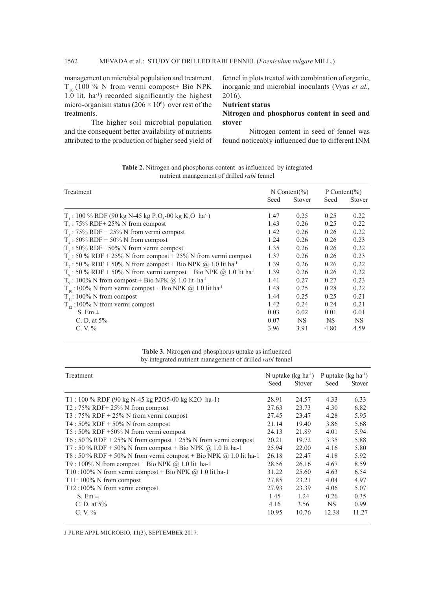management on microbial population and treatment  $T_{10}$  (100 % N from vermi compost+ Bio NPK 1.0 lit. ha-1) recorded significantly the highest micro-organism status  $(206 \times 10^6)$  over rest of the treatments.

The higher soil microbial population and the consequent better availability of nutrients attributed to the production of higher seed yield of fennel in plots treated with combination of organic, inorganic and microbial inoculants (Vyas *et al.,* 2016).

# **Nutrient status**

## **Nitrogen and phosphorus content in seed and stover**

Nitrogen content in seed of fennel was found noticeably influenced due to different INM

| Treatment                                                                                                          |      | N Content(%) | P Content(%) |        |
|--------------------------------------------------------------------------------------------------------------------|------|--------------|--------------|--------|
|                                                                                                                    | Seed | Stover       | Seed         | Stover |
| T <sub>1</sub> : 100 % RDF (90 kg N-45 kg P <sub>2</sub> O <sub>5</sub> -00 kg K <sub>2</sub> O ha <sup>-1</sup> ) | 1.47 | 0.25         | 0.25         | 0.22   |
| $T_2$ : 75% RDF+ 25% N from compost                                                                                | 1.43 | 0.26         | 0.25         | 0.22   |
| $T_3$ : 75% RDF + 25% N from vermi compost                                                                         | 1.42 | 0.26         | 0.26         | 0.22   |
| $T_4$ : 50% RDF + 50% N from compost                                                                               | 1.24 | 0.26         | 0.26         | 0.23   |
| $T_s$ : 50% RDF +50% N from vermi compost                                                                          | 1.35 | 0.26         | 0.26         | 0.22   |
| $T_6$ : 50 % RDF + 25% N from compost + 25% N from vermi compost                                                   | 1.37 | 0.26         | 0.26         | 0.23   |
| $T_7$ : 50 % RDF + 50% N from compost + Bio NPK @ 1.0 lit ha <sup>-1</sup>                                         | 1.39 | 0.26         | 0.26         | 0.22   |
| $T_s$ : 50 % RDF + 50% N from vermi compost + Bio NPK @ 1.0 lit ha <sup>-1</sup>                                   | 1.39 | 0.26         | 0.26         | 0.22   |
| $To$ : 100% N from compost + Bio NPK @ 1.0 lit ha <sup>-1</sup>                                                    | 1.41 | 0.27         | 0.27         | 0.23   |
| $T_{10}$ :100% N from vermi compost + Bio NPK @ 1.0 lit ha <sup>-1</sup>                                           | 1.48 | 0.25         | 0.28         | 0.22   |
| $T_{11}$ : 100% N from compost                                                                                     | 1.44 | 0.25         | 0.25         | 0.21   |
| $T_{12}$ :100% N from vermi compost                                                                                | 1.42 | 0.24         | 0.24         | 0.21   |
| S. Em $\pm$                                                                                                        | 0.03 | 0.02         | 0.01         | 0.01   |
| C. D. at $5%$                                                                                                      | 0.07 | <b>NS</b>    | NS.          | NS.    |
| $C. V. \%$                                                                                                         | 3.96 | 3.91         | 4.80         | 4.59   |

**Table 2.** Nitrogen and phosphorus content as influenced by integrated nutrient management of drilled *rabi* fennel

## **Table 3.** Nitrogen and phosphorus uptake as influenced by integrated nutrient management of drilled *rabi* fennel

| Treatment                                                           |       | N uptake $(kg ha^{-1})$ |           | P uptake $(kg ha^{-1})$ |  |
|---------------------------------------------------------------------|-------|-------------------------|-----------|-------------------------|--|
|                                                                     | Seed  | <b>Stover</b>           | Seed      | <b>Stover</b>           |  |
| T1:100 % RDF (90 kg N-45 kg P2O5-00 kg K2O ha-1)                    | 28.91 | 24.57                   | 4.33      | 6.33                    |  |
| $T2:75\%$ RDF+ 25% N from compost                                   | 27.63 | 23.73                   | 4.30      | 6.82                    |  |
| T3 : $75\%$ RDF + $25\%$ N from vermi compost                       | 27.45 | 23.47                   | 4.28      | 5.95                    |  |
| T4 : $50\%$ RDF + $50\%$ N from compost                             | 21.14 | 19.40                   | 3.86      | 5.68                    |  |
| $T5: 50\%$ RDF +50% N from vermi compost                            | 24.13 | 21.89                   | 4.01      | 5.94                    |  |
| T6 : 50 % RDF + 25% N from compost + 25% N from vermi compost       | 20.21 | 19.72                   | 3.35      | 5.88                    |  |
| T7 : 50 % RDF + 50% N from compost + Bio NPK @ 1.0 lit ha-1         | 25.94 | 22.00                   | 4.16      | 5.80                    |  |
| T8 : 50 % RDF + 50% N from vermi compost + Bio NPK $@$ 1.0 lit ha-1 | 26.18 | 22.47                   | 4.18      | 5.92                    |  |
| T9 : 100% N from compost + Bio NPK $@$ 1.0 lit ha-1                 | 28.56 | 26.16                   | 4.67      | 8.59                    |  |
| T10:100% N from vermi compost + Bio NPK $@$ 1.0 lit ha-1            | 31.22 | 25.60                   | 4.63      | 6.54                    |  |
| T11: $100\%$ N from compost                                         | 27.85 | 23.21                   | 4.04      | 4.97                    |  |
| T12:100% N from vermi compost                                       | 27.93 | 23.39                   | 4.06      | 5.07                    |  |
| S. Em $\pm$                                                         | 1.45  | 1.24                    | 0.26      | 0.35                    |  |
| C. D. at $5%$                                                       | 4.16  | 3.56                    | <b>NS</b> | 0.99                    |  |
| $C. V. \%$                                                          | 10.95 | 10.76                   | 12.38     | 11.27                   |  |

J PURE APPL MICROBIO*,* **11**(3), SEPTEMBER 2017.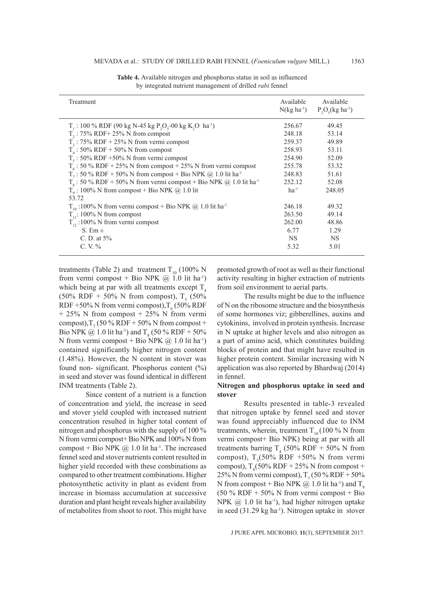| Treatment                                                                                                 | Available<br>$N(\text{kg} \text{ha}^{-1})$ | Available<br>$P_2O_5(kg \text{ ha}^{-1})$ |
|-----------------------------------------------------------------------------------------------------------|--------------------------------------------|-------------------------------------------|
| $T_1$ : 100 % RDF (90 kg N-45 kg P <sub>2</sub> O <sub>5</sub> -00 kg K <sub>2</sub> O ha <sup>-1</sup> ) | 256.67                                     | 49.45                                     |
| $T_2$ : 75% RDF+ 25% N from compost                                                                       | 248.18                                     | 53.14                                     |
| $T3$ : 75% RDF + 25% N from vermi compost                                                                 | 259.37                                     | 49.89                                     |
| $T_{4}$ : 50% RDF + 50% N from compost                                                                    | 258.93                                     | 53.11                                     |
| $T_s$ : 50% RDF +50% N from vermi compost                                                                 | 254.90                                     | 52.09                                     |
| $T_6$ : 50 % RDF + 25% N from compost + 25% N from vermi compost                                          | 255.78                                     | 53.32                                     |
| $T_7$ : 50 % RDF + 50% N from compost + Bio NPK @ 1.0 lit ha <sup>-1</sup>                                | 248.83                                     | 51.61                                     |
| $T_s$ : 50 % RDF + 50% N from vermi compost + Bio NPK @ 1.0 lit ha <sup>-1</sup>                          | 252.12                                     | 52.08                                     |
| $T0$ : 100% N from compost + Bio NPK @ 1.0 lit                                                            | $ha^{-1}$                                  | 248.05                                    |
| 53.72                                                                                                     |                                            |                                           |
| $T_{10}$ :100% N from vermi compost + Bio NPK @ 1.0 lit ha <sup>-1</sup>                                  | 246.18                                     | 49.32                                     |
| $T_{11}$ : 100% N from compost                                                                            | 263.50                                     | 49.14                                     |
| $T_{12}$ :100% N from vermi compost                                                                       | 262.00                                     | 48.86                                     |
| S. Em $\pm$                                                                                               | 6.77                                       | 1.29                                      |
| C. D. at $5%$                                                                                             | <b>NS</b>                                  | <b>NS</b>                                 |
| $C. V. \%$                                                                                                | 5.32                                       | 5.01                                      |

**Table 4.** Available nitrogen and phosphorus status in soil as influenced by integrated nutrient management of drilled *rabi* fennel

treatments (Table 2) and treatment  $T_{10}$  (100% N from vermi compost + Bio NPK  $(\hat{\omega})$  1.0 lit ha<sup>-1</sup>) which being at par with all treatments except  $T<sub>4</sub>$ (50% RDF + 50% N from compost),  $T_5$  (50% RDF +50% N from vermi compost),  $T_6$  (50% RDF + 25% N from compost + 25% N from vermi compost),  $T_7$  (50 % RDF + 50% N from compost + Bio NPK  $@ 1.0$  lit ha<sup>-1</sup>) and T<sub>8</sub> (50 % RDF + 50% N from vermi compost + Bio NPK  $@1.0$  lit ha<sup>-1</sup>) contained significantly higher nitrogen content (1.48%). However, the N content in stover was found non- significant. Phosphorus content (%) in seed and stover was found identical in different INM treatments (Table 2).

Since content of a nutrient is a function of concentration and yield, the increase in seed and stover yield coupled with increased nutrient concentration resulted in higher total content of nitrogen and phosphorus with the supply of 100 % N from vermi compost+ Bio NPK and 100% N from compost + Bio NPK  $\omega$  1.0 lit ha<sup>-1</sup>. The increased fennel seed and stover nutrients content resulted in higher yield recorded with these combinations as compared to other treatment combinations. Higher photosynthetic activity in plant as evident from increase in biomass accumulation at successive duration and plant height reveals higher availability of metabolites from shoot to root. This might have promoted growth of root as well as their functional activity resulting in higher extraction of nutrients from soil environment to aerial parts.

The results might be due to the influence of N on the ribosome structure and the biosynthesis of some hormones viz; gibberellines, auxins and cytokinins, involved in protein synthesis. Increase in N uptake at higher levels and also nitrogen as a part of amino acid, which constitutes building blocks of protein and that might have resulted in higher protein content. Similar increasing with N application was also reported by Bhardwaj (2014) in fennel.

## **Nitrogen and phosphorus uptake in seed and stover**

Results presented in table-3 revealed that nitrogen uptake by fennel seed and stover was found appreciably influenced due to INM treatments, wherein, treatment  $T_{10}$  (100 % N from vermi compost+ Bio NPK) being at par with all treatments barring  $T_4$  (50% RDF + 50% N from compost),  $T_s$ (50% RDF +50% N from vermi compost),  $T_6$ (50% RDF + 25% N from compost + 25% N from vermi compost),  $T_7$  (50 % RDF + 50%) N from compost + Bio NPK  $\omega$  1.0 lit ha<sup>-1</sup>) and T<sub>s</sub>  $(50\%$  RDF + 50% N from vermi compost + Bio NPK  $(2)$  1.0 lit ha<sup>-1</sup>), had higher nitrogen uptake in seed  $(31.29 \text{ kg} \text{ ha}^{-1})$ . Nitrogen uptake in stover

J PURE APPL MICROBIO*,* **11**(3), SEPTEMBER 2017.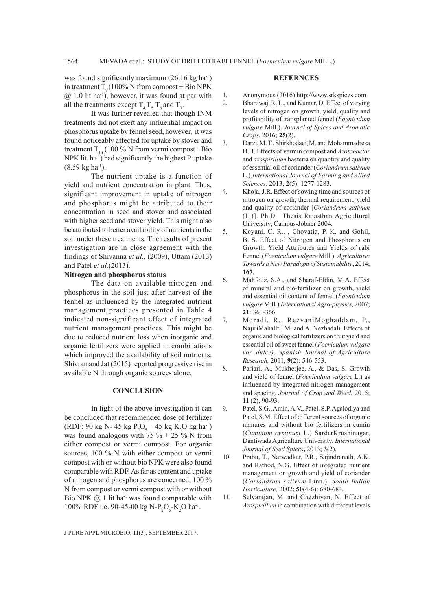was found significantly maximum  $(26.16 \text{ kg ha}^{-1})$ in treatment  $T<sub>0</sub> (100% N from compost + Bio NPK)$  $(a)$  1.0 lit ha<sup>-1</sup>), however, it was found at par with all the treatments except  $T_{4,1}T_{5,1}T_{6}$  and  $T_{7}$ .

It was further revealed that though INM treatments did not exert any influential impact on phosphorus uptake by fennel seed, however, it was found noticeably affected for uptake by stover and treatment  $T_{10}$  (100 % N from vermi compost+ Bio NPK lit. ha<sup>-1</sup>) had significantly the highest P uptake  $(8.59 \text{ kg ha}^{-1})$ .

The nutrient uptake is a function of yield and nutrient concentration in plant. Thus, significant improvement in uptake of nitrogen and phosphorus might be attributed to their concentration in seed and stover and associated with higher seed and stover yield. This might also be attributed to better availability of nutrients in the soil under these treatments. The results of present investigation are in close agreement with the findings of Shivanna *et al.,* (2009), Uttam (2013) and Patel *et al.*(2013).

# **Nitrogen and phosphorus status**

The data on available nitrogen and phosphorus in the soil just after harvest of the fennel as influenced by the integrated nutrient management practices presented in Table 4 indicated non-significant effect of integrated nutrient management practices. This might be due to reduced nutrient loss when inorganic and organic fertilizers were applied in combinations which improved the availability of soil nutrients. Shivran and Jat (2015) reported progressive rise in available N through organic sources alone.

#### **CONCLUSION**

In light of the above investigation it can be concluded that recommended dose of fertilizer (RDF: 90 kg N- 45 kg  $P_2O_5 - 45$  kg K<sub>2</sub>O kg ha<sup>-1</sup>) was found analogous with 75  $\%$  + 25  $\%$  N from either compost or vermi compost. For organic sources, 100 % N with either compost or vermi compost with or without bio NPK were also found comparable with RDF. As far as content and uptake of nitrogen and phosphorus are concerned, 100 % N from compost or vermi compost with or without Bio NPK  $@1$  lit ha<sup>-1</sup> was found comparable with 100% RDF i.e. 90-45-00 kg N-P<sub>2</sub>O<sub>5</sub>-K<sub>2</sub>O ha<sup>-1</sup>.

## **REFERNCES**

- 1. Anonymous (2016) http://www.srkspices.com
- 2. Bhardwaj, R. L., and Kumar, D. Effect of varying levels of nitrogen on growth, yield, quality and profitability of transplanted fennel (*Foeniculum vulgare* Mill.). *Journal of Spices and Aromatic Crops*, 2016; **25**(2).
- 3. Darzi, M. T., Shirkhodaei, M. and Mohammadreza H.H. Effects of vermin compost and *Azotobactor* and *azospirillum* bacteria on quantity and quality of essential oil of coriander (*Coriandrum sativum* L.).*International Journal of Farming and Allied Sciences,* 2013; **2**(5): 1277-1283.
- 4. Khoja, J.R. Effect of sowing time and sources of nitrogen on growth, thermal requirement, yield and quality of coriander [*Coriandrum sativum* (L.)]. Ph.D. Thesis Rajasthan Agricultural University, Campus-Jobner 2004.
- 5. Koyani, C. R., , Chovatia, P. K. and Gohil, B. S. Effect of Nitrogen and Phosphorus on Growth, Yield Attributes and Yields of rabi Fennel (*Foeniculum vulgare* Mill.). *Agriculture: Towards a New Paradigm of Sustainability*, 2014; **167**.
- 6. Mahfouz, S.A., and Sharaf-Eldin, M.A. Effect of mineral and bio-fertilizer on growth, yield and essential oil content of fennel (*Foeniculum vulgare* Mill.) *International Agro-physics,* 2007; **21**: 361-366.
- 7. Moradi, R., RezvaniMoghaddam, P., NajiriMahallti, M. and A. Nezhadali. Effects of organic and biological fertilizers on fruit yield and essential oil of sweet fennel (*Foeniculum vulgare var. dulce). Spanish Journal of Agriculture Research,* 2011; **9**(2): 546-553.
- 8. Pariari, A., Mukherjee, A., & Das, S. Growth and yield of fennel (*Foeniculum vulgare* L.) as influenced by integrated nitrogen management and spacing. *Journal of Crop and Weed*, 2015; **11** (2), 90-93.
- 9. Patel, S.G., Amin, A.V., Patel, S.P. Agalodiya and Patel, S.M. Effect of different sources of organic manures and without bio fertilizers in cumin (*Cuminum cyminum* L.) SardarKrushinagar, Dantiwada Agriculture University*. International Journal of Seed Spices***,** 2013; **3**(2).
- 10. Prabu, T., Narwadkar, P.R., Sajindranath, A.K. and Rathod, N.G. Effect of integrated nutrient management on growth and yield of coriander (*Coriandrum sativum* Linn.). *South Indian Horticulture,* 2002; **50**(4-6): 680-684.
- 11. Selvarajan, M. and Chezhiyan, N. Effect of *Azospirillum* in combination with different levels